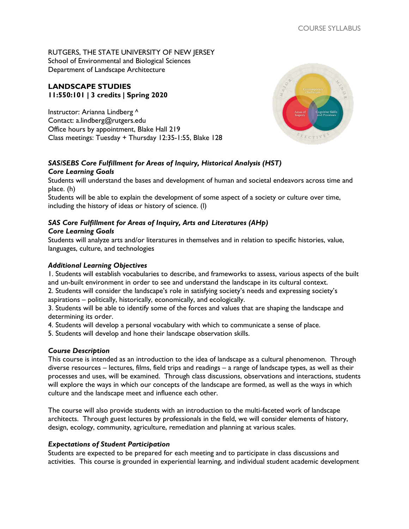RUTGERS, THE STATE UNIVERSITY OF NEW JERSEY School of Environmental and Biological Sciences Department of Landscape Architecture

# **LANDSCAPE STUDIES 11:550:101 | 3 credits | Spring 2020**

Instructor: Arianna Lindberg ^ Contact: [a.lindberg@rutgers.edu](mailto:a.lindberg@rutgers.edu) Office hours by appointment, Blake Hall 219 Class meetings: Tuesday + Thursday 12:35-1:55, Blake 128



## *SAS/SEBS Core Fulfillment for Areas of Inquiry, Historical Analysis (HST) Core Learning Goals*

Students will understand the bases and development of human and societal endeavors across time and place. (h)

Students will be able to explain the development of some aspect of a society or culture over time, including the history of ideas or history of science. (l)

## *SAS Core Fulfillment for Areas of Inquiry, Arts and Literatures (AHp) Core Learning Goals*

Students will analyze arts and/or literatures in themselves and in relation to specific histories, value, languages, culture, and technologies

## *Additional Learning Objectives*

1. Students will establish vocabularies to describe, and frameworks to assess, various aspects of the built and un-built environment in order to see and understand the landscape in its cultural context.

2. Students will consider the landscape's role in satisfying society's needs and expressing society's aspirations – politically, historically, economically, and ecologically.

3. Students will be able to identify some of the forces and values that are shaping the landscape and determining its order.

4. Students will develop a personal vocabulary with which to communicate a sense of place.

5. Students will develop and hone their landscape observation skills.

## *Course Description*

This course is intended as an introduction to the idea of landscape as a cultural phenomenon. Through diverse resources – lectures, films, field trips and readings – a range of landscape types, as well as their processes and uses, will be examined. Through class discussions, observations and interactions, students will explore the ways in which our concepts of the landscape are formed, as well as the ways in which culture and the landscape meet and influence each other.

The course will also provide students with an introduction to the multi-faceted work of landscape architects. Through guest lectures by professionals in the field, we will consider elements of history, design, ecology, community, agriculture, remediation and planning at various scales.

## *Expectations of Student Participation*

Students are expected to be prepared for each meeting and to participate in class discussions and activities. This course is grounded in experiential learning, and individual student academic development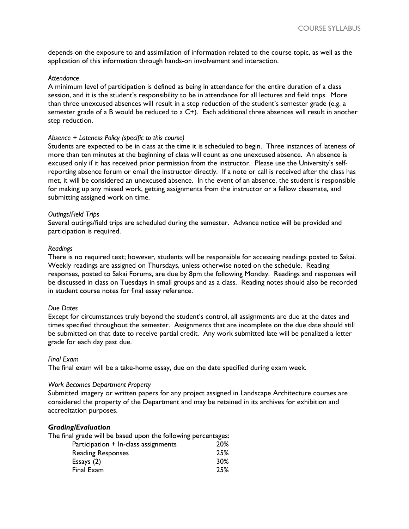depends on the exposure to and assimilation of information related to the course topic, as well as the application of this information through hands-on involvement and interaction.

#### *Attendance*

A minimum level of participation is defined as being in attendance for the entire duration of a class session, and it is the student's responsibility to be in attendance for all lectures and field trips. More than three unexcused absences will result in a step reduction of the student's semester grade (e.g. a semester grade of a B would be reduced to a C+). Each additional three absences will result in another step reduction.

#### *Absence + Lateness Policy (specific to this course)*

Students are expected to be in class at the time it is scheduled to begin. Three instances of lateness of more than ten minutes at the beginning of class will count as one unexcused absence. An absence is excused only if it has received prior permission from the instructor. Please use the University's selfreporting absence forum or email the instructor directly. If a note or call is received after the class has met, it will be considered an unexcused absence. In the event of an absence, the student is responsible for making up any missed work, getting assignments from the instructor or a fellow classmate, and submitting assigned work on time.

#### *Outings/Field Trips*

Several outings/field trips are scheduled during the semester. Advance notice will be provided and participation is required.

#### *Readings*

There is no required text; however, students will be responsible for accessing readings posted to Sakai. Weekly readings are assigned on Thursdays, unless otherwise noted on the schedule. Reading responses, posted to Sakai Forums, are due by 8pm the following Monday. Readings and responses will be discussed in class on Tuesdays in small groups and as a class. Reading notes should also be recorded in student course notes for final essay reference.

## *Due Dates*

Except for circumstances truly beyond the student's control, all assignments are due at the dates and times specified throughout the semester. Assignments that are incomplete on the due date should still be submitted on that date to receive partial credit. Any work submitted late will be penalized a letter grade for each day past due.

#### *Final Exam*

The final exam will be a take-home essay, due on the date specified during exam week.

#### *Work Becomes Department Property*

Submitted imagery or written papers for any project assigned in Landscape Architecture courses are considered the property of the Department and may be retained in its archives for exhibition and accreditation purposes.

## *Grading/Evaluation*

The final grade will be based upon the following percentages:

| Participation + In-class assignments | <b>20%</b>      |
|--------------------------------------|-----------------|
| <b>Reading Responses</b>             | 25%             |
| Essays $(2)$                         | 30 <sup>%</sup> |
| Final Exam                           | 25%             |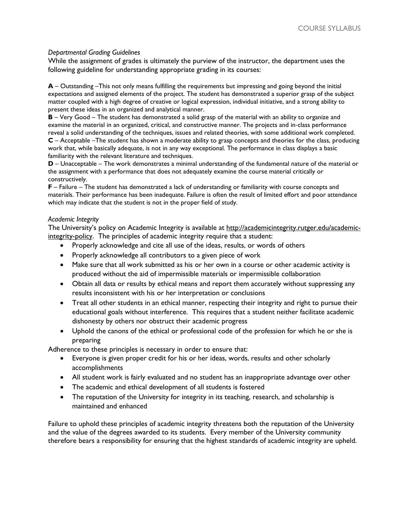#### *Departmental Grading Guidelines*

While the assignment of grades is ultimately the purview of the instructor, the department uses the following guideline for understanding appropriate grading in its courses:

**A** – Outstanding –This not only means fulfilling the requirements but impressing and going beyond the initial expectations and assigned elements of the project. The student has demonstrated a superior grasp of the subject matter coupled with a high degree of creative or logical expression, individual initiative, and a strong ability to present these ideas in an organized and analytical manner.

**B** – Very Good – The student has demonstrated a solid grasp of the material with an ability to organize and examine the material in an organized, critical, and constructive manner. The projects and in‐class performance reveal a solid understanding of the techniques, issues and related theories, with some additional work completed. **C** – Acceptable –The student has shown a moderate ability to grasp concepts and theories for the class, producing work that, while basically adequate, is not in any way exceptional. The performance in class displays a basic familiarity with the relevant literature and techniques.

**D** – Unacceptable – The work demonstrates a minimal understanding of the fundamental nature of the material or the assignment with a performance that does not adequately examine the course material critically or constructively.

**F** – Failure – The student has demonstrated a lack of understanding or familiarity with course concepts and materials. Their performance has been inadequate. Failure is often the result of limited effort and poor attendance which may indicate that the student is not in the proper field of study.

#### *Academic Integrity*

The University's policy on Academic Integrity is available at [http://academicintegrity.rutger.edu/academic](http://academicintegrity.rutger.edu/academic-integrity-policy)[integrity-policy.](http://academicintegrity.rutger.edu/academic-integrity-policy) The principles of academic integrity require that a student:

- Properly acknowledge and cite all use of the ideas, results, or words of others
- Properly acknowledge all contributors to a given piece of work
- Make sure that all work submitted as his or her own in a course or other academic activity is produced without the aid of impermissible materials or impermissible collaboration
- Obtain all data or results by ethical means and report them accurately without suppressing any results inconsistent with his or her interpretation or conclusions
- Treat all other students in an ethical manner, respecting their integrity and right to pursue their educational goals without interference. This requires that a student neither facilitate academic dishonesty by others nor obstruct their academic progress
- Uphold the canons of the ethical or professional code of the profession for which he or she is preparing

Adherence to these principles is necessary in order to ensure that:

- Everyone is given proper credit for his or her ideas, words, results and other scholarly accomplishments
- All student work is fairly evaluated and no student has an inappropriate advantage over other
- The academic and ethical development of all students is fostered
- The reputation of the University for integrity in its teaching, research, and scholarship is maintained and enhanced

Failure to uphold these principles of academic integrity threatens both the reputation of the University and the value of the degrees awarded to its students. Every member of the University community therefore bears a responsibility for ensuring that the highest standards of academic integrity are upheld.